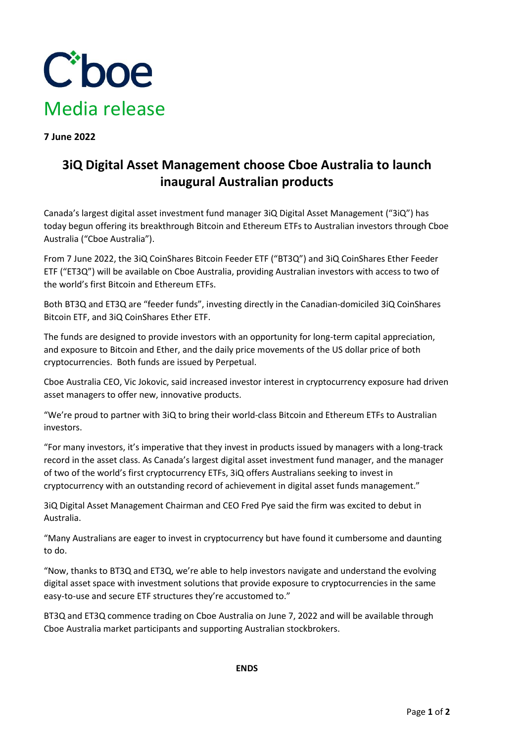

**7 June 2022**

## **3iQ Digital Asset Management choose Cboe Australia to launch inaugural Australian products**

Canada's largest digital asset investment fund manager 3iQ Digital Asset Management ("3iQ") has today begun offering its breakthrough Bitcoin and Ethereum ETFs to Australian investors through Cboe Australia ("Cboe Australia").

From 7 June 2022, the 3iQ CoinShares Bitcoin Feeder ETF ("BT3Q") and 3iQ CoinShares Ether Feeder ETF ("ET3Q") will be available on Cboe Australia, providing Australian investors with access to two of the world's first Bitcoin and Ethereum ETFs.

Both BT3Q and ET3Q are "feeder funds", investing directly in the Canadian-domiciled 3iQ CoinShares Bitcoin ETF, and 3iQ CoinShares Ether ETF.

The funds are designed to provide investors with an opportunity for long-term capital appreciation, and exposure to Bitcoin and Ether, and the daily price movements of the US dollar price of both cryptocurrencies. Both funds are issued by Perpetual.

Cboe Australia CEO, Vic Jokovic, said increased investor interest in cryptocurrency exposure had driven asset managers to offer new, innovative products.

"We're proud to partner with 3iQ to bring their world-class Bitcoin and Ethereum ETFs to Australian investors.

"For many investors, it's imperative that they invest in products issued by managers with a long-track record in the asset class. As Canada's largest digital asset investment fund manager, and the manager of two of the world's first cryptocurrency ETFs, 3iQ offers Australians seeking to invest in cryptocurrency with an outstanding record of achievement in digital asset funds management."

3iQ Digital Asset Management Chairman and CEO Fred Pye said the firm was excited to debut in Australia.

"Many Australians are eager to invest in cryptocurrency but have found it cumbersome and daunting to do.

"Now, thanks to BT3Q and ET3Q, we're able to help investors navigate and understand the evolving digital asset space with investment solutions that provide exposure to cryptocurrencies in the same easy-to-use and secure ETF structures they're accustomed to."

BT3Q and ET3Q commence trading on Cboe Australia on June 7, 2022 and will be available through Cboe Australia market participants and supporting Australian stockbrokers.

**ENDS**